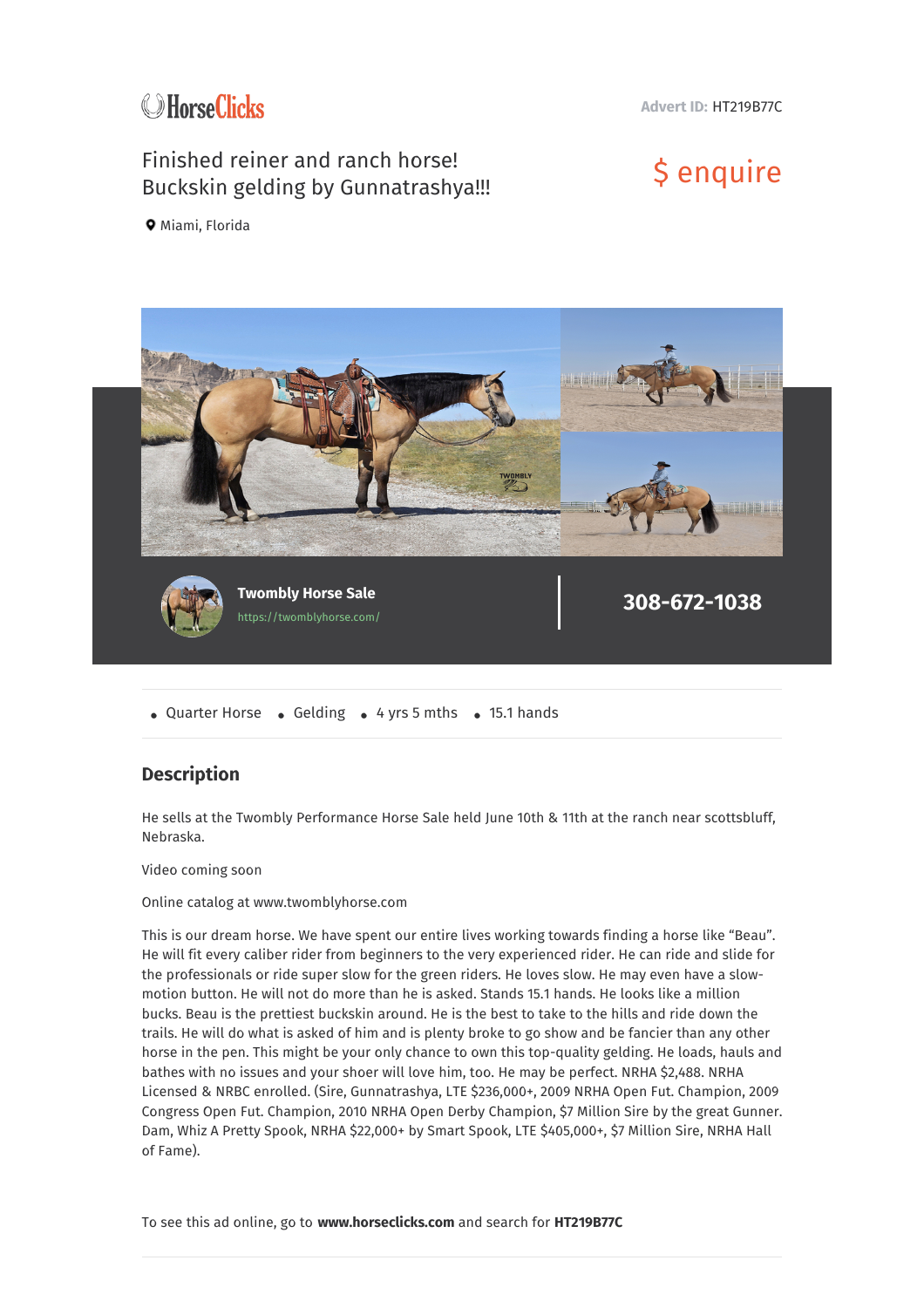

**Advert ID:** HT219B77C

## Finished reiner and ranch horse! Finished reiner and ranch horse!<br>Buckskin gelding by Gunnatrashya!!! \$ enquire

**9** Miami, Florida



• Quarter Horse • Gelding • 4 yrs 5 mths • 15.1 hands

## **Description**

He sells at the Twombly Performance Horse Sale held June 10th & 11th at the ranch near scottsbluff, Nebraska.

Video coming soon

Online catalog at www.twomblyhorse.com

This is our dream horse. We have spent our entire lives working towards finding a horse like "Beau". He will fit every caliber rider from beginners to the very experienced rider. He can ride and slide for the professionals or ride super slow for the green riders. He loves slow. He may even have a slowmotion button. He will not do more than he is asked. Stands 15.1 hands. He looks like a million bucks. Beau is the prettiest buckskin around. He is the best to take to the hills and ride down the trails. He will do what is asked of him and is plenty broke to go show and be fancier than any other horse in the pen. This might be your only chance to own this top-quality gelding. He loads, hauls and bathes with no issues and your shoer will love him, too. He may be perfect. NRHA \$2,488. NRHA Licensed & NRBC enrolled. (Sire, Gunnatrashya, LTE \$236,000+, 2009 NRHA Open Fut. Champion, 2009 Congress Open Fut. Champion, 2010 NRHA Open Derby Champion, \$7 Million Sire by the great Gunner. Dam, Whiz A Pretty Spook, NRHA \$22,000+ by Smart Spook, LTE \$405,000+, \$7 Million Sire, NRHA Hall of Fame).

To see this ad online, go to **www.horseclicks.com** and search for **HT219B77C**